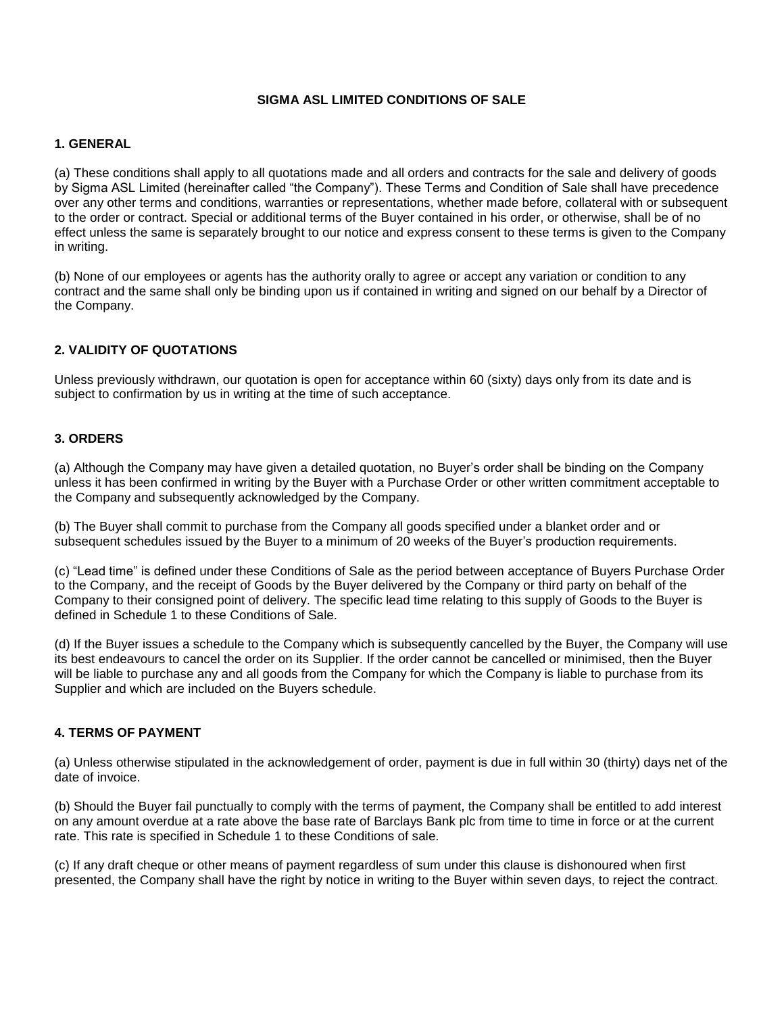## **SIGMA ASL LIMITED CONDITIONS OF SALE**

### **1. GENERAL**

(a) These conditions shall apply to all quotations made and all orders and contracts for the sale and delivery of goods by Sigma ASL Limited (hereinafter called "the Company"). These Terms and Condition of Sale shall have precedence over any other terms and conditions, warranties or representations, whether made before, collateral with or subsequent to the order or contract. Special or additional terms of the Buyer contained in his order, or otherwise, shall be of no effect unless the same is separately brought to our notice and express consent to these terms is given to the Company in writing.

(b) None of our employees or agents has the authority orally to agree or accept any variation or condition to any contract and the same shall only be binding upon us if contained in writing and signed on our behalf by a Director of the Company.

# **2. VALIDITY OF QUOTATIONS**

Unless previously withdrawn, our quotation is open for acceptance within 60 (sixty) days only from its date and is subject to confirmation by us in writing at the time of such acceptance.

### **3. ORDERS**

(a) Although the Company may have given a detailed quotation, no Buyer's order shall be binding on the Company unless it has been confirmed in writing by the Buyer with a Purchase Order or other written commitment acceptable to the Company and subsequently acknowledged by the Company.

(b) The Buyer shall commit to purchase from the Company all goods specified under a blanket order and or subsequent schedules issued by the Buyer to a minimum of 20 weeks of the Buyer's production requirements.

(c) "Lead time" is defined under these Conditions of Sale as the period between acceptance of Buyers Purchase Order to the Company, and the receipt of Goods by the Buyer delivered by the Company or third party on behalf of the Company to their consigned point of delivery. The specific lead time relating to this supply of Goods to the Buyer is defined in Schedule 1 to these Conditions of Sale.

(d) If the Buyer issues a schedule to the Company which is subsequently cancelled by the Buyer, the Company will use its best endeavours to cancel the order on its Supplier. If the order cannot be cancelled or minimised, then the Buyer will be liable to purchase any and all goods from the Company for which the Company is liable to purchase from its Supplier and which are included on the Buyers schedule.

### **4. TERMS OF PAYMENT**

(a) Unless otherwise stipulated in the acknowledgement of order, payment is due in full within 30 (thirty) days net of the date of invoice.

(b) Should the Buyer fail punctually to comply with the terms of payment, the Company shall be entitled to add interest on any amount overdue at a rate above the base rate of Barclays Bank plc from time to time in force or at the current rate. This rate is specified in Schedule 1 to these Conditions of sale.

(c) If any draft cheque or other means of payment regardless of sum under this clause is dishonoured when first presented, the Company shall have the right by notice in writing to the Buyer within seven days, to reject the contract.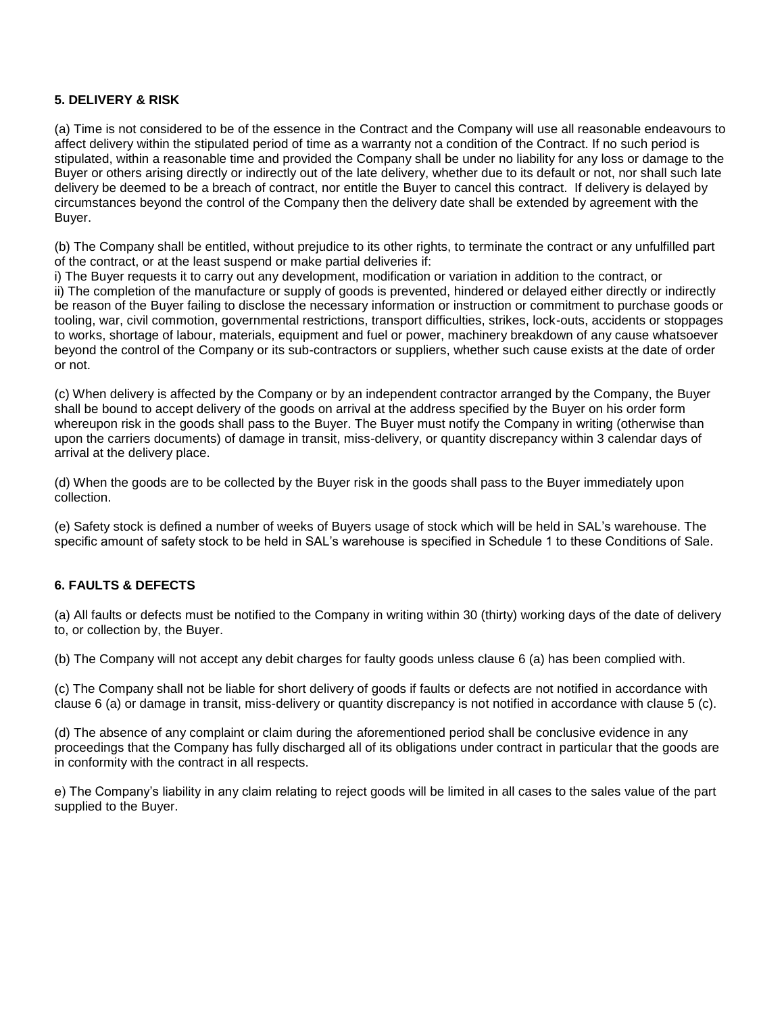## **5. DELIVERY & RISK**

(a) Time is not considered to be of the essence in the Contract and the Company will use all reasonable endeavours to affect delivery within the stipulated period of time as a warranty not a condition of the Contract. If no such period is stipulated, within a reasonable time and provided the Company shall be under no liability for any loss or damage to the Buyer or others arising directly or indirectly out of the late delivery, whether due to its default or not, nor shall such late delivery be deemed to be a breach of contract, nor entitle the Buyer to cancel this contract. If delivery is delayed by circumstances beyond the control of the Company then the delivery date shall be extended by agreement with the Buyer.

(b) The Company shall be entitled, without prejudice to its other rights, to terminate the contract or any unfulfilled part of the contract, or at the least suspend or make partial deliveries if:

i) The Buyer requests it to carry out any development, modification or variation in addition to the contract, or ii) The completion of the manufacture or supply of goods is prevented, hindered or delayed either directly or indirectly be reason of the Buyer failing to disclose the necessary information or instruction or commitment to purchase goods or tooling, war, civil commotion, governmental restrictions, transport difficulties, strikes, lock-outs, accidents or stoppages to works, shortage of labour, materials, equipment and fuel or power, machinery breakdown of any cause whatsoever beyond the control of the Company or its sub-contractors or suppliers, whether such cause exists at the date of order or not.

(c) When delivery is affected by the Company or by an independent contractor arranged by the Company, the Buyer shall be bound to accept delivery of the goods on arrival at the address specified by the Buyer on his order form whereupon risk in the goods shall pass to the Buyer. The Buyer must notify the Company in writing (otherwise than upon the carriers documents) of damage in transit, miss-delivery, or quantity discrepancy within 3 calendar days of arrival at the delivery place.

(d) When the goods are to be collected by the Buyer risk in the goods shall pass to the Buyer immediately upon collection.

(e) Safety stock is defined a number of weeks of Buyers usage of stock which will be held in SAL's warehouse. The specific amount of safety stock to be held in SAL's warehouse is specified in Schedule 1 to these Conditions of Sale.

## **6. FAULTS & DEFECTS**

(a) All faults or defects must be notified to the Company in writing within 30 (thirty) working days of the date of delivery to, or collection by, the Buyer.

(b) The Company will not accept any debit charges for faulty goods unless clause 6 (a) has been complied with.

(c) The Company shall not be liable for short delivery of goods if faults or defects are not notified in accordance with clause 6 (a) or damage in transit, miss-delivery or quantity discrepancy is not notified in accordance with clause 5 (c).

(d) The absence of any complaint or claim during the aforementioned period shall be conclusive evidence in any proceedings that the Company has fully discharged all of its obligations under contract in particular that the goods are in conformity with the contract in all respects.

e) The Company's liability in any claim relating to reject goods will be limited in all cases to the sales value of the part supplied to the Buyer.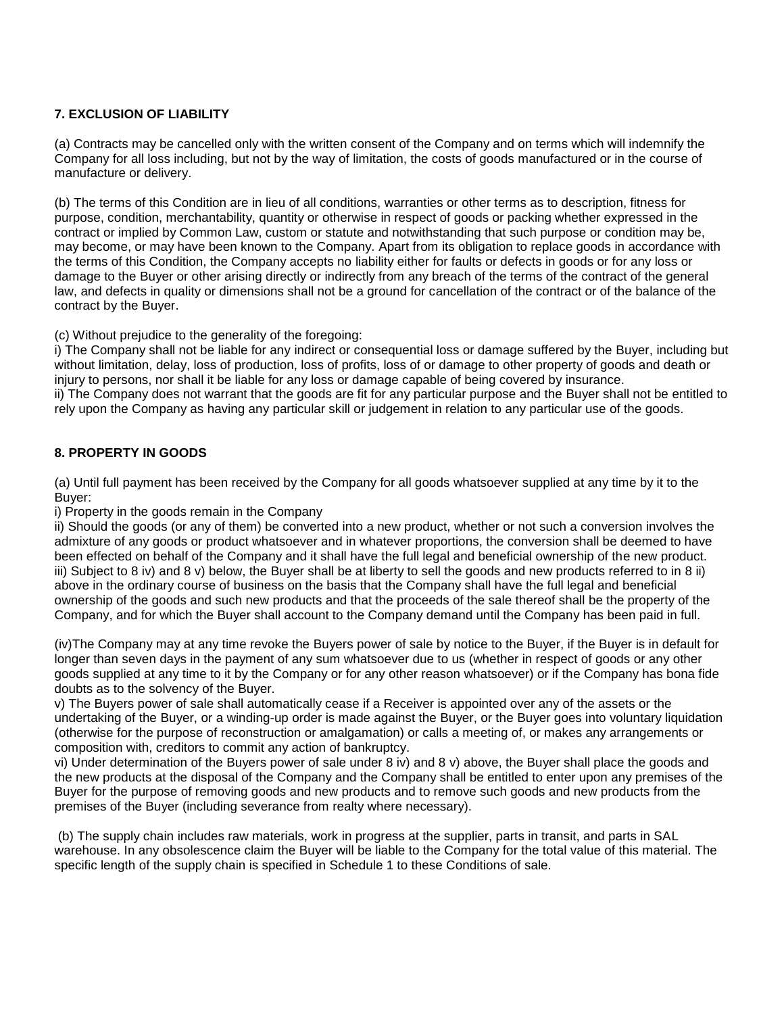# **7. EXCLUSION OF LIABILITY**

(a) Contracts may be cancelled only with the written consent of the Company and on terms which will indemnify the Company for all loss including, but not by the way of limitation, the costs of goods manufactured or in the course of manufacture or delivery.

(b) The terms of this Condition are in lieu of all conditions, warranties or other terms as to description, fitness for purpose, condition, merchantability, quantity or otherwise in respect of goods or packing whether expressed in the contract or implied by Common Law, custom or statute and notwithstanding that such purpose or condition may be, may become, or may have been known to the Company. Apart from its obligation to replace goods in accordance with the terms of this Condition, the Company accepts no liability either for faults or defects in goods or for any loss or damage to the Buyer or other arising directly or indirectly from any breach of the terms of the contract of the general law, and defects in quality or dimensions shall not be a ground for cancellation of the contract or of the balance of the contract by the Buyer.

(c) Without prejudice to the generality of the foregoing:

i) The Company shall not be liable for any indirect or consequential loss or damage suffered by the Buyer, including but without limitation, delay, loss of production, loss of profits, loss of or damage to other property of goods and death or injury to persons, nor shall it be liable for any loss or damage capable of being covered by insurance. ii) The Company does not warrant that the goods are fit for any particular purpose and the Buyer shall not be entitled to rely upon the Company as having any particular skill or judgement in relation to any particular use of the goods.

# **8. PROPERTY IN GOODS**

(a) Until full payment has been received by the Company for all goods whatsoever supplied at any time by it to the Buyer:

### i) Property in the goods remain in the Company

ii) Should the goods (or any of them) be converted into a new product, whether or not such a conversion involves the admixture of any goods or product whatsoever and in whatever proportions, the conversion shall be deemed to have been effected on behalf of the Company and it shall have the full legal and beneficial ownership of the new product. iii) Subject to 8 iv) and 8 v) below, the Buyer shall be at liberty to sell the goods and new products referred to in 8 ii) above in the ordinary course of business on the basis that the Company shall have the full legal and beneficial ownership of the goods and such new products and that the proceeds of the sale thereof shall be the property of the Company, and for which the Buyer shall account to the Company demand until the Company has been paid in full.

(iv)The Company may at any time revoke the Buyers power of sale by notice to the Buyer, if the Buyer is in default for longer than seven days in the payment of any sum whatsoever due to us (whether in respect of goods or any other goods supplied at any time to it by the Company or for any other reason whatsoever) or if the Company has bona fide doubts as to the solvency of the Buyer.

v) The Buyers power of sale shall automatically cease if a Receiver is appointed over any of the assets or the undertaking of the Buyer, or a winding-up order is made against the Buyer, or the Buyer goes into voluntary liquidation (otherwise for the purpose of reconstruction or amalgamation) or calls a meeting of, or makes any arrangements or composition with, creditors to commit any action of bankruptcy.

vi) Under determination of the Buyers power of sale under 8 iv) and 8 v) above, the Buyer shall place the goods and the new products at the disposal of the Company and the Company shall be entitled to enter upon any premises of the Buyer for the purpose of removing goods and new products and to remove such goods and new products from the premises of the Buyer (including severance from realty where necessary).

(b) The supply chain includes raw materials, work in progress at the supplier, parts in transit, and parts in SAL warehouse. In any obsolescence claim the Buyer will be liable to the Company for the total value of this material. The specific length of the supply chain is specified in Schedule 1 to these Conditions of sale.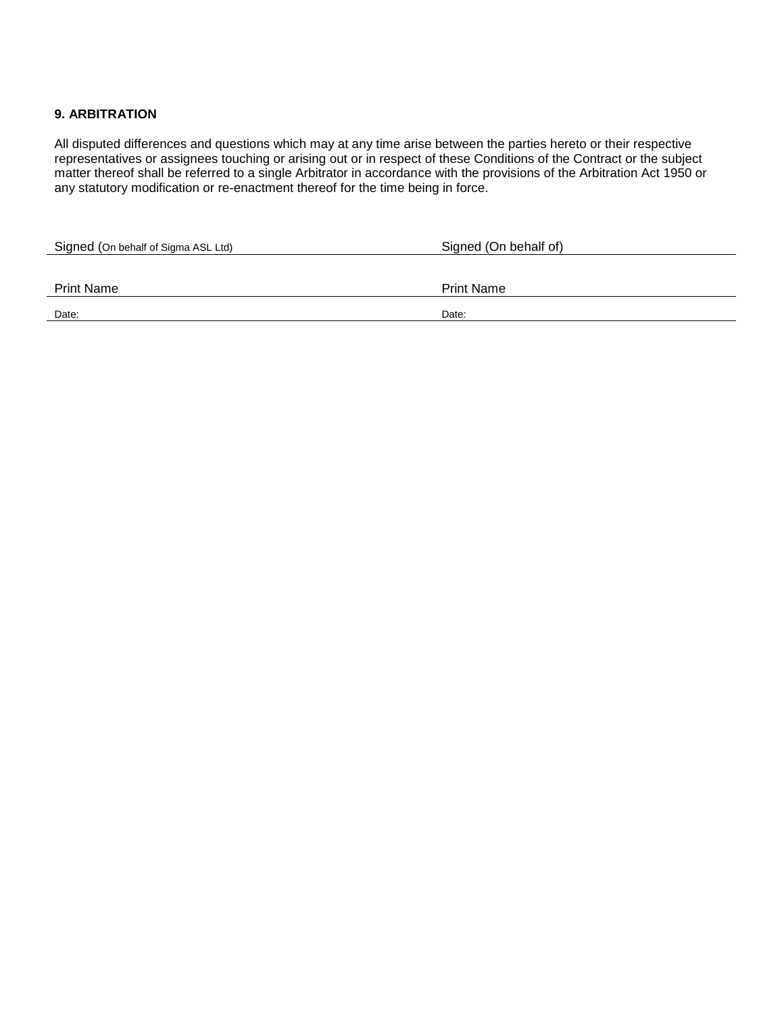# **9. ARBITRATION**

All disputed differences and questions which may at any time arise between the parties hereto or their respective representatives or assignees touching or arising out or in respect of these Conditions of the Contract or the subject matter thereof shall be referred to a single Arbitrator in accordance with the provisions of the Arbitration Act 1950 or any statutory modification or re-enactment thereof for the time being in force.

| Signed (On behalf of Sigma ASL Ltd) | Signed (On behalf of) |
|-------------------------------------|-----------------------|
|                                     |                       |
| <b>Print Name</b>                   | <b>Print Name</b>     |
| Date:                               | Date:                 |